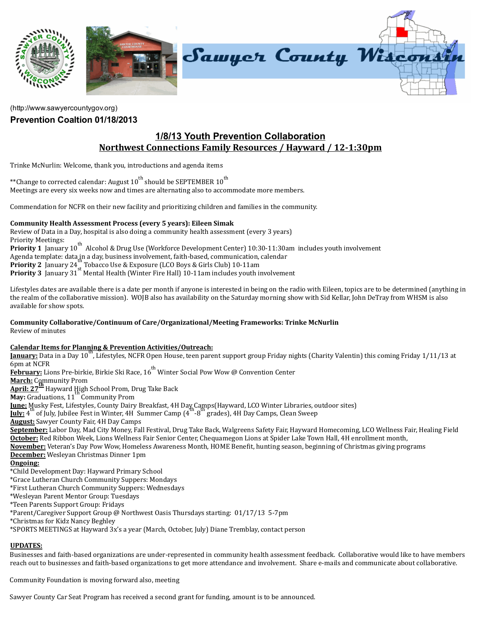

[\(http://www.sawyercountygov.org\)](http://www.sawyercountygov.org/)

## Prevention Coaltion 01/18/2013

# 1/8/13 Youth Prevention Collaboration Northwest Connections Family Resources / Hayward / 12‐1:30pm

Trinke McNurlin: Welcome, thank you, introductions and agenda items

\*\*Change to corrected calendar: August 10<sup>th</sup> should be SEPTEMBER 10<sup>th</sup> Meetings are every six weeks now and times are alternating also to accommodate more members.

Commendation for NCFR on their new facility and prioritizing children and families in the community.

### Community Health Assessment Process (every 5 years): Eileen Simak

Review of Data in a Day, hospital is also doing a community health assessment (every 3 years) Priority Meetings: 11.01.15 Meetings.<br>Priority 1 January 10<sup>th</sup> Alcohol & Drug Use (Workforce Development Center) 10:30-11:30am includes youth involvement Agenda template: data in a day, business involvement, faith-based, communication, calendar **Priority 2** January 24<sup>"</sup> Tobacco Use & Exposure (LCO Boys & Girls Club) 10-11am **Priority 3** January 31<sup>3</sup> Mental Health (Winter Fire Hall) 10-11am includes youth involvement th st

Lifestyles dates are available there is a date per month if anyone is interested in being on the radio with Eileen, topics are to be determined (anything in the realm of the collaborative mission). WOJB also has availability on the Saturday morning show with Sid Kellar, John DeTray from WHSM is also available for show spots.

# Community Collaborative/Continuum of Care/Organizational/Meeting Frameworks: Trinke McNurlin

Review of minutes

### Calendar Items for Planning & Prevention Activities/Outreach:

<u>tanuary:</u> Data in a Day 10<sup>th</sup>, Lifestyles, NCFR Open House, teen parent support group Friday nights (Charity Valentin) this coming Friday 1/11/13 at 6pm at NCFR

حويد الله العدم العدم لله بن المسابق بن المسابق المسابق المسابق المسابق المسابق المسابق المسابق ال<br>E<mark>ebruary:</mark> Lions Pre-birkie, Birkie Ski Race, 16<sup>th</sup> Winter Social Pow Wow @ Convention Center

March: Community Prom

April: 27<sup>th</sup> Hayward High School Prom, Drug Take Back

May: Graduations, 11<sup>th</sup> Community Prom

Iune: Musky Fest, Lifestyles, County Dairy Breakfast, 4H Day Camps (Hayward, LCO Winter Libraries, outdoor sites)

<u>face</u> t<sub>it</sub>tury rest, anestyles, county bury breakast, in ba<sub>thour</sub> heading wate, boot which abitaties, or<br>**<u>Iuly:</u>** 4<sup>th</sup> of July, Jubilee Fest in Winter, 4H Summer Camp (4<sup>th</sup> -8<sup>th</sup> grades), 4H Day Camps, Clean Sweep

**August:** Sawyer County Fair, 4H Day Camps

September: Labor Day, Mad City Money, Fall Festival, Drug Take Back, Walgreens Safety Fair, Hayward Homecoming, LCO Wellness Fair, Healing Field October: Red Ribbon Week, Lions Wellness Fair Senior Center, Chequamegon Lions at Spider Lake Town Hall, 4H enrollment month,

November: Veteran's Day Pow Wow, Homeless Awareness Month, HOME Beneit, hunting season, beginning of Christmas giving programs December: Wesleyan Christmas Dinner 1pm

#### Ongoing:

\*Child Development Day: Hayward Primary School

\*Grace Lutheran Church Community Suppers: Mondays

\*First Lutheran Church Community Suppers: Wednesdays

\*Wesleyan Parent Mentor Group: Tuesdays

\*Teen Parents Support Group: Fridays

\*Parent/Caregiver Support Group @ Northwest Oasis Thursdays starting: 01/17/13 5‐7pm

\*Christmas for Kidz Nancy Beghley

\*SPORTS MEETINGS at Hayward 3x's a year (March, October, July) Diane Tremblay, contact person

## UPDATES:

Businesses and faith‐based organizations are under‐represented in community health assessment feedback. Collaborative would like to have members reach out to businesses and faith‐based organizations to get more attendance and involvement. Share e‐mails and communicate about collaborative.

Community Foundation is moving forward also, meeting

Sawyer County Car Seat Program has received a second grant for funding, amount is to be announced.